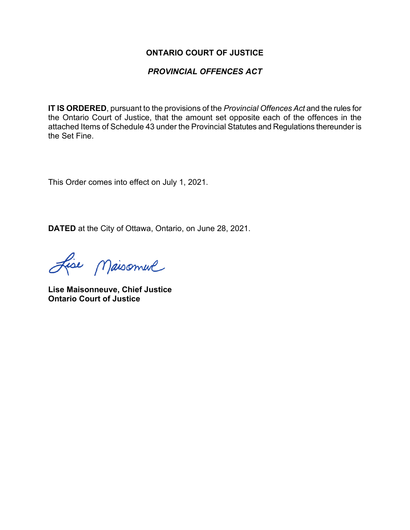#### **ONTARIO COURT OF JUSTICE**

### *PROVINCIAL OFFENCES ACT*

**IT IS ORDERED**, pursuant to the provisions of the *Provincial Offences Act* and the rules for the Ontario Court of Justice, that the amount set opposite each of the offences in the attached Items of Schedule 43 under the Provincial Statutes and Regulations thereunder is the Set Fine.

This Order comes into effect on July 1, 2021.

**DATED** at the City of Ottawa, Ontario, on June 28, 2021.

Lise Maisonnel

**Lise Maisonneuve, Chief Justice Ontario Court of Justice**